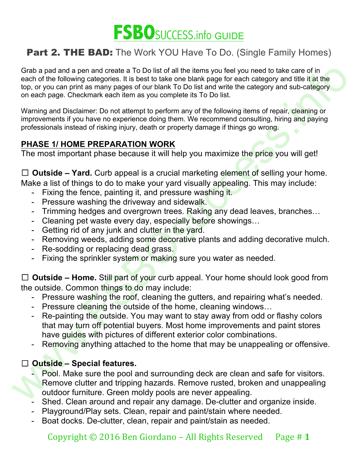

Grab a para and reade a To Do list of all the riems you below the absoluted to take care of in<br>Capacity and the act of the following categories. It is best to take one blank page for each category and title it the<br>top, or Grab a pad and a pen and create a To Do list of all the items you feel you need to take care of in each of the following categories. It is best to take one blank page for each category and title it at the top, or you can print as many pages of our blank To Do list and write the category and sub-category on each page. Checkmark each item as you complete its To Do list.

Warning and Disclaimer: Do not attempt to perform any of the following items of repair, cleaning or improvements if you have no experience doing them. We recommend consulting, hiring and paying professionals instead of risking injury, death or property damage if things go wrong.

### **PHASE 1/ HOME PREPARATION WORK**

The most important phase because it will help you maximize the price you will get!

□ **Outside – Yard.** Curb appeal is a crucial marketing element of selling your home. Make a list of things to do to make your yard visually appealing. This may include:

- Fixing the fence, painting it, and pressure washing it.
- Pressure washing the driveway and sidewalk.
- Trimming hedges and overgrown trees. Raking any dead leaves, branches…
- Cleaning pet waste every day, especially before showings...
- Getting rid of any junk and clutter in the yard.
- Removing weeds, adding some decorative plants and adding decorative mulch.
- Re-sodding or replacing dead grass.
- Fixing the sprinkler system or making sure you water as needed.

☐ **Outside – Home.** Still part of your curb appeal. Your home should look good from the outside. Common things to do may include:

- Pressure washing the roof, cleaning the gutters, and repairing what's needed.
- Pressure cleaning the outside of the home, cleaning windows...
- Re-painting the outside. You may want to stay away from odd or flashy colors that may turn off potential buyers. Most home improvements and paint stores have guides with pictures of different exterior color combinations.
- Removing anything attached to the home that may be unappealing or offensive.

### ☐ **Outside – Special features.**

- Pool. Make sure the pool and surrounding deck are clean and safe for visitors. Remove clutter and tripping hazards. Remove rusted, broken and unappealing outdoor furniture. Green moldy pools are never appealing.
- Shed. Clean around and repair any damage. De-clutter and organize inside.
- Playground/Play sets. Clean, repair and paint/stain where needed.
- Boat docks. De-clutter, clean, repair and paint/stain as needed.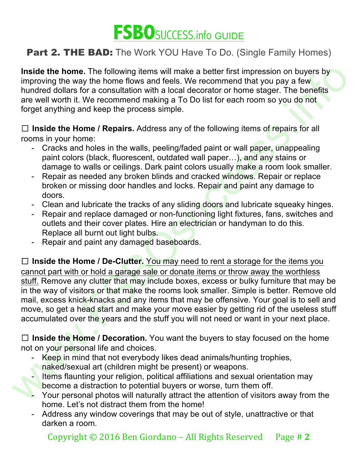

**Inside the home.** The following items will make a better first impression on buyers by improving the way the home flows and feels. We recommend that you pay a few hundred dollars for a consultation with a local decorator or home stager. The benefits are well worth it. We recommend making a To Do list for each room so you do not forget anything and keep the process simple.

☐ **Inside the Home / Repairs.** Address any of the following items of repairs for all rooms in your home:

- Cracks and holes in the walls, peeling/faded paint or wall paper, unappealing paint colors (black, fluorescent, outdated wall paper…), and any stains or damage to walls or ceilings. Dark paint colors usually make a room look smaller.
- Repair as needed any broken blinds and cracked windows. Repair or replace broken or missing door handles and locks. Repair and paint any damage to doors.
- Clean and lubricate the tracks of any sliding doors and lubricate squeaky hinges.
- Repair and replace damaged or non-functioning light fixtures, fans, switches and outlets and their cover plates. Hire an electrician or handyman to do this. Replace all burnt out light bulbs.
- Repair and paint any damaged baseboards.

Institute home. The following iteras will make a better first impression on buyers by<br>limproving the way the home flows and feels. We recommend that you pay a few<br>hundred dollars for a consultation with a local decorator o ☐ **Inside the Home / De-Clutter.** You may need to rent a storage for the items you cannot part with or hold a garage sale or donate items or throw away the worthless stuff. Remove any clutter that may include boxes, excess or bulky furniture that may be in the way of visitors or that make the rooms look smaller. Simple is better. Remove old mail, excess knick-knacks and any items that may be offensive. Your goal is to sell and move, so get a head start and make your move easier by getting rid of the useless stuff accumulated over the years and the stuff you will not need or want in your next place.

☐ **Inside the Home / Decoration.** You want the buyers to stay focused on the home not on your personal life and choices.

- Keep in mind that not everybody likes dead animals/hunting trophies, naked/sexual art (children might be present) or weapons.
- Items flaunting your religion, political affiliations and sexual orientation may become a distraction to potential buyers or worse, turn them off.
- Your personal photos will naturally attract the attention of visitors away from the home. Let's not distract them from the home!
- Address any window coverings that may be out of style, unattractive or that darken a room.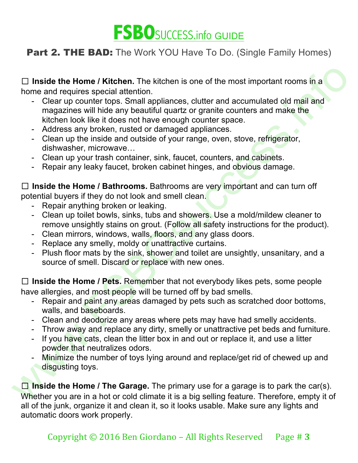

☐ **Inside the Home / Kitchen.** The kitchen is one of the most important rooms in a home and requires special attention.

- <p>\n<b>l</b> <b>nside the Home / Kitchen</b>. The kitherin is one of the most important rooms in a home and requires special attention.\n</p>\n<p>\n<ul>\n<li>Clear up counter topics. Similarly, the it does not have enough counters and make the kitch look like it does not have enough counters.</li>\n<li>Address any broken, unstable of damage applies.</li>\n<li>Address any broken, unstable of your range, oven, stove, refrigerator.</li>\n<li>Clearly, and a outside of your range, oven, stove, refrigerator.</li>\n<li>Clearly, and the inside and outside of your range, oven, stove, refrigerator.</li>\n<li>Clearly, what contains the risk to the other data, sink, f, force, counters, and obvious damage.</li>\n</ul>\n</p>\n<p>\n<b>l</b> <b>nside the Home / Bathrons - Clear up counter tops. Small appliances, clutter and accumulated old mail and magazines will hide any beautiful quartz or granite counters and make the kitchen look like it does not have enough counter space.
	- Address any broken, rusted or damaged appliances.
	- Clean up the inside and outside of your range, oven, stove, refrigerator, dishwasher, microwave…
	- Clean up your trash container, sink, faucet, counters, and cabinets.
	- Repair any leaky faucet, broken cabinet hinges, and obvious damage.

☐ **Inside the Home / Bathrooms.** Bathrooms are very important and can turn off potential buyers if they do not look and smell clean.

- Repair anything broken or leaking.
- Clean up toilet bowls, sinks, tubs and showers. Use a mold/mildew cleaner to remove unsightly stains on grout. (Follow all safety instructions for the product).
- Clean mirrors, windows, walls, floors, and any glass doors.
- Replace any smelly, moldy or unattractive curtains.
- Plush floor mats by the sink, shower and toilet are unsightly, unsanitary, and a source of smell. Discard or replace with new ones.

☐ **Inside the Home / Pets.** Remember that not everybody likes pets, some people have allergies, and most people will be turned off by bad smells.

- Repair and paint any areas damaged by pets such as scratched door bottoms, walls, and baseboards.
- Clean and deodorize any areas where pets may have had smelly accidents.
- Throw away and replace any dirty, smelly or unattractive pet beds and furniture.
- If you have cats, clean the litter box in and out or replace it, and use a litter powder that neutralizes odors.
- Minimize the number of toys lying around and replace/get rid of chewed up and disgusting toys.

☐ **Inside the Home / The Garage.** The primary use for a garage is to park the car(s). Whether you are in a hot or cold climate it is a big selling feature. Therefore, empty it of all of the junk, organize it and clean it, so it looks usable. Make sure any lights and automatic doors work properly.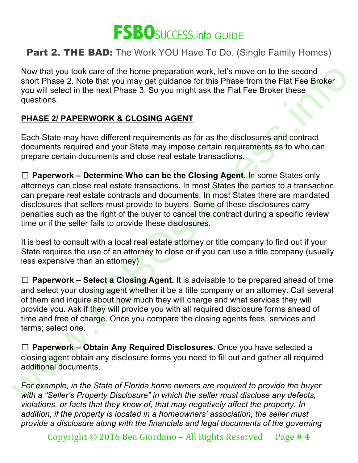

Now that you took care of the home preparation work, let's move on to the second short Phase 2. Note that you may get guidance for this Phase from the Flat Fee Broker you will select in the next Phase 3. So you might ask the Flat Fee Broker these questions.

### **PHASE 2/ PAPERWORK & CLOSING AGENT**

Each State may have different requirements as far as the disclosures and contract documents required and your State may impose certain requirements as to who can prepare certain documents and close real estate transactions.

Now that you took care of the tome preparation work, let's move on to the second<br>you will select in the next Phase 3. So you might ask the Flat Fee Broker head<br>you will select in the next Phase 3. So you might ask the Flat ☐ **Paperwork – Determine Who can be the Closing Agent.** In some States only attorneys can close real estate transactions. In most States the parties to a transaction can prepare real estate contracts and documents. In most States there are mandated disclosures that sellers must provide to buyers. Some of these disclosures carry penalties such as the right of the buyer to cancel the contract during a specific review time or if the seller fails to provide these disclosures.

It is best to consult with a local real estate attorney or title company to find out if your State requires the use of an attorney to close or if you can use a title company (usually less expensive than an attorney)

☐ **Paperwork – Select a Closing Agent.** It is advisable to be prepared ahead of time and select your closing agent whether it be a title company or an attorney. Call several of them and inquire about how much they will charge and what services they will provide you. Ask if they will provide you with all required disclosure forms ahead of time and free of charge. Once you compare the closing agents fees, services and terms; select one.

☐ **Paperwork – Obtain Any Required Disclosures.** Once you have selected a closing agent obtain any disclosure forms you need to fill out and gather all required additional documents.

*For example, in the State of Florida home owners are required to provide the buyer with a "Seller's Property Disclosure" in which the seller must disclose any defects, violations, or facts that they know of, that may negatively affect the property. In addition, if the property is located in a homeowners' association, the seller must provide a disclosure along with the financials and legal documents of the governing* 

Copyright  $\odot$  2016 Ben Giordano – All Rights Reserved Page # 4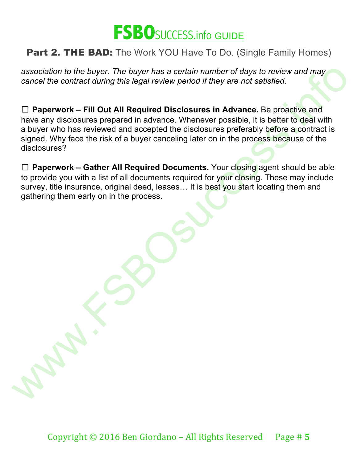

*association to the buyer. The buyer has a certain number of days to review and may cancel the contract during this legal review period if they are not satisfied.*

association to the buyer. The buyer has a certain number of days to review and may<br>cancel the contract during this legal review period if they are not satisfied.<br>  $\square$  **Paperwork - Fill Out All Required Disclosures in Adva** ☐ **Paperwork – Fill Out All Required Disclosures in Advance.** Be proactive and have any disclosures prepared in advance. Whenever possible, it is better to deal with a buyer who has reviewed and accepted the disclosures preferably before a contract is signed. Why face the risk of a buyer canceling later on in the process because of the disclosures?

☐ **Paperwork – Gather All Required Documents.** Your closing agent should be able to provide you with a list of all documents required for your closing. These may include survey, title insurance, original deed, leases… It is best you start locating them and gathering them early on in the process.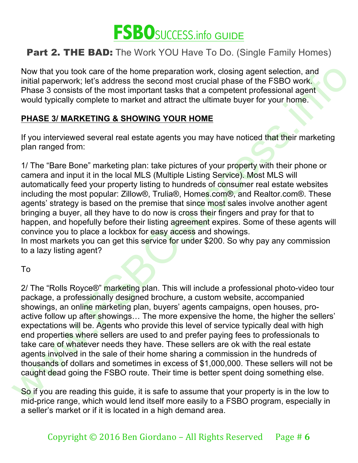

Now that you took care of the home preparation work, closing agent selection, and initial paperwork; let's address the second most crucial phase of the FSBO work. Phase 3 consists of the most important tasks that a competent professional agent would typically complete to market and attract the ultimate buyer for your home.

#### **PHASE 3/ MARKETING & SHOWING YOUR HOME**

If you interviewed several real estate agents you may have noticed that their marketing plan ranged from:

1/ The "Bare Bone" marketing plan: take pictures of your property with their phone or camera and input it in the local MLS (Multiple Listing Service). Most MLS will automatically feed your property listing to hundreds of consumer real estate websites including the most popular: Zillow®, Trulia®, Homes.com®, and Realtor.com®. These agents' strategy is based on the premise that since most sales involve another agent bringing a buyer, all they have to do now is cross their fingers and pray for that to happen, and hopefully before their listing agreement expires. Some of these agents will convince you to place a lockbox for easy access and showings.

In most markets you can get this service for under \$200. So why pay any commission to a lazy listing agent?

To

Now that you took care of the home preparation work, closing agents eleed<br>to multial paperwork; let's address the second most crucial phase of the FSBO work.<br>Phase 3 consists of the most important lasks that a competent pr 2/ The "Rolls Royce®" marketing plan. This will include a professional photo-video tour package, a professionally designed brochure, a custom website, accompanied showings, an online marketing plan, buyers' agents campaigns, open houses, proactive follow up after showings... The more expensive the home, the higher the sellers' expectations will be. Agents who provide this level of service typically deal with high end properties where sellers are used to and prefer paying fees to professionals to take care of whatever needs they have. These sellers are ok with the real estate agents involved in the sale of their home sharing a commission in the hundreds of thousands of dollars and sometimes in excess of \$1,000,000. These sellers will not be caught dead going the FSBO route. Their time is better spent doing something else.

So if you are reading this guide, it is safe to assume that your property is in the low to mid-price range, which would lend itself more easily to a FSBO program, especially in a seller's market or if it is located in a high demand area.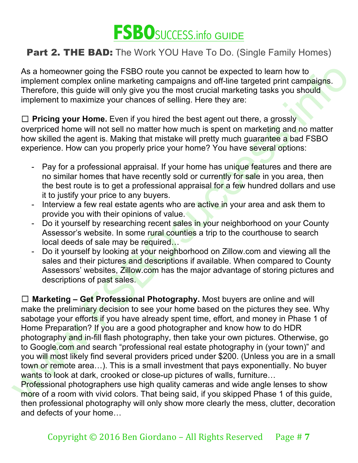

As a homeowner going the FSBO route you cannot be expected to learn how to implement complex online marketing campaigns and off-line targeted print campaigns. Therefore, this guide will only give you the most crucial marketing tasks you should implement to maximize your chances of selling. Here they are:

□ **Pricing your Home.** Even if you hired the best agent out there, a grossly overpriced home will not sell no matter how much is spent on marketing and no matter how skilled the agent is. Making that mistake will pretty much guarantee a bad FSBO experience. How can you properly price your home? You have several options:

- Pay for a professional appraisal. If your home has unique features and there are no similar homes that have recently sold or currently for sale in you area, then the best route is to get a professional appraisal for a few hundred dollars and use it to justify your price to any buyers.
- Interview a few real estate agents who are active in your area and ask them to provide you with their opinions of value.
- Do it yourself by researching recent sales in your neighborhood on your County Assessor's website. In some rural counties a trip to the courthouse to search local deeds of sale may be required…
- Do it yourself by looking at your neighborhood on Zillow.com and viewing all the sales and their pictures and descriptions if available. When compared to County Assessors' websites, Zillow.com has the major advantage of storing pictures and descriptions of past sales.

As a homeower going the FSBO route you cannot be expected to learn how to<br>mplement complex online marketing campaigns and off-line targeted print campaigns.<br>Therefore, this guide will only give you the most crucial marketi ☐ **Marketing – Get Professional Photography.** Most buyers are online and will make the preliminary decision to see your home based on the pictures they see. Why sabotage your efforts if you have already spent time, effort, and money in Phase 1 of Home Preparation? If you are a good photographer and know how to do HDR photography and in-fill flash photography, then take your own pictures. Otherwise, go to Google.com and search "professional real estate photography in (your town)" and you will most likely find several providers priced under \$200. (Unless you are in a small town or remote area…). This is a small investment that pays exponentially. No buyer wants to look at dark, crooked or close-up pictures of walls, furniture...

Professional photographers use high quality cameras and wide angle lenses to show more of a room with vivid colors. That being said, if you skipped Phase 1 of this guide, then professional photography will only show more clearly the mess, clutter, decoration and defects of your home…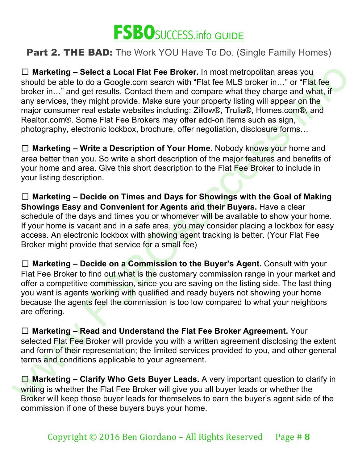

 $□$  Marketing – Solocit a Local Flat Fee Broker. In most metropolitan areas you<br>should be able to do a Google.com search with "Flat fee MLS broker in..." or "Flat fee<br>broker in..." and get results. Contact them and comp ☐ **Marketing – Select a Local Flat Fee Broker.** In most metropolitan areas you should be able to do a Google.com search with "Flat fee MLS broker in..." or "Flat fee broker in…" and get results. Contact them and compare what they charge and what, if any services, they might provide. Make sure your property listing will appear on the major consumer real estate websites including: Zillow®, Trulia®, Homes.com®, and Realtor.com®. Some Flat Fee Brokers may offer add-on items such as sign, photography, electronic lockbox, brochure, offer negotiation, disclosure forms…

☐ **Marketing – Write a Description of Your Home.** Nobody knows your home and area better than you. So write a short description of the major features and benefits of your home and area. Give this short description to the Flat Fee Broker to include in your listing description.

☐ **Marketing – Decide on Times and Days for Showings with the Goal of Making Showings Easy and Convenient for Agents and their Buyers.** Have a clear schedule of the days and times you or whomever will be available to show your home. If your home is vacant and in a safe area, you may consider placing a lockbox for easy access. An electronic lockbox with showing agent tracking is better. (Your Flat Fee Broker might provide that service for a small fee)

☐ **Marketing – Decide on a Commission to the Buyer's Agent.** Consult with your Flat Fee Broker to find out what is the customary commission range in your market and offer a competitive commission, since you are saving on the listing side. The last thing you want is agents working with qualified and ready buyers not showing your home because the agents feel the commission is too low compared to what your neighbors are offering.

☐ **Marketing – Read and Understand the Flat Fee Broker Agreement.** Your selected Flat Fee Broker will provide you with a written agreement disclosing the extent and form of their representation; the limited services provided to you, and other general terms and conditions applicable to your agreement.

☐ **Marketing – Clarify Who Gets Buyer Leads.** A very important question to clarify in writing is whether the Flat Fee Broker will give you all buyer leads or whether the Broker will keep those buyer leads for themselves to earn the buyer's agent side of the commission if one of these buyers buys your home.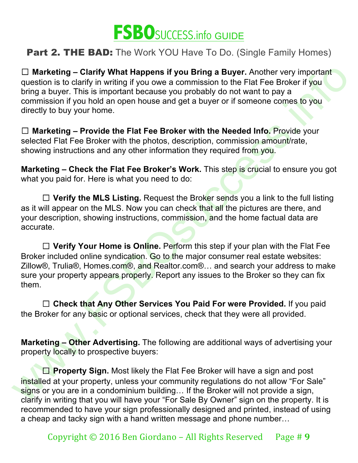

☐ **Marketing – Clarify What Happens if you Bring a Buyer.** Another very important question is to clarify in writing if you owe a commission to the Flat Fee Broker if you bring a buyer. This is important because you probably do not want to pay a commission if you hold an open house and get a buyer or if someone comes to you directly to buy your home.

☐ **Marketing – Provide the Flat Fee Broker with the Needed Info.** Provide your selected Flat Fee Broker with the photos, description, commission amount/rate, showing instructions and any other information they required from you.

**Marketing – Check the Flat Fee Broker's Work.** This step is crucial to ensure you got what you paid for. Here is what you need to do:

☐ **Verify the MLS Listing.** Request the Broker sends you a link to the full listing as it will appear on the MLS. Now you can check that all the pictures are there, and your description, showing instructions, commission, and the home factual data are accurate.

 $□$  Marketing – Clarify What Happens if you Bring a Buyer. Another very important<br>utesting is to larify in writing if you owe a commission to the Fial Fee Broker if you<br>torm is to larif and the control to the Fial Fee B □ **Verify Your Home is Online.** Perform this step if your plan with the Flat Fee Broker included online syndication. Go to the major consumer real estate websites: Zillow®, Trulia®, Homes.com®, and Realtor.com®... and search your address to make sure your property appears properly. Report any issues to the Broker so they can fix them.

□ Check that Any Other Services You Paid For were Provided. If you paid the Broker for any basic or optional services, check that they were all provided.

**Marketing – Other Advertising.** The following are additional ways of advertising your property locally to prospective buyers:

☐ **Property Sign.** Most likely the Flat Fee Broker will have a sign and post installed at your property, unless your community regulations do not allow "For Sale" signs or you are in a condominium building... If the Broker will not provide a sign, clarify in writing that you will have your "For Sale By Owner" sign on the property. It is recommended to have your sign professionally designed and printed, instead of using a cheap and tacky sign with a hand written message and phone number…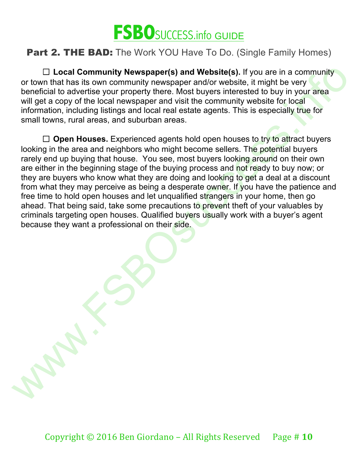

□ Local Community Newspaper(s) and Website(s). If you are in a community or town that has its own community newspaper and/or website, it might be very beneficial to advertise your property there. Most buyers interested to buy in your area will get a copy of the local newspaper and visit the community website for local information, including listings and local real estate agents. This is especially true for small towns, rural areas, and suburban areas.

ID Local Community Newspaper(s) and Website(s). If you are in a community<br>or from that has its own community were<br>spacer and/or website. It might be very<br>bereficial to advertise your property there. Most buyers intereste □ **Open Houses.** Experienced agents hold open houses to try to attract buyers looking in the area and neighbors who might become sellers. The potential buyers rarely end up buying that house. You see, most buyers looking around on their own are either in the beginning stage of the buying process and not ready to buy now; or they are buyers who know what they are doing and looking to get a deal at a discount from what they may perceive as being a desperate owner. If you have the patience and free time to hold open houses and let unqualified strangers in your home, then go ahead. That being said, take some precautions to prevent theft of your valuables by criminals targeting open houses. Qualified buyers usually work with a buyer's agent because they want a professional on their side.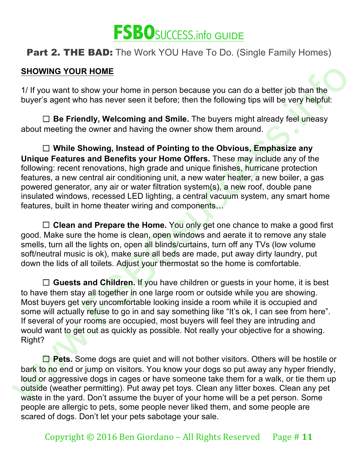

### **SHOWING YOUR HOME**

1/ If you want to show your home in person because you can do a better job than the buyer's agent who has never seen it before; then the following tips will be very helpful:

☐ **Be Friendly, Welcoming and Smile.** The buyers might already feel uneasy about meeting the owner and having the owner show them around.

☐ **While Showing, Instead of Pointing to the Obvious, Emphasize any Unique Features and Benefits your Home Offers.** These may include any of the following: recent renovations, high grade and unique finishes, hurricane protection features, a new central air conditioning unit, a new water heater, a new boiler, a gas powered generator, any air or water filtration system(s), a new roof, double pane insulated windows, recessed LED lighting, a central vacuum system, any smart home features, built in home theater wiring and components...

□ Clean and Prepare the Home. You only get one chance to make a good first good. Make sure the home is clean, open windows and aerate it to remove any stale smells, turn all the lights on, open all blinds/curtains, turn off any TVs (low volume soft/neutral music is ok), make sure all beds are made, put away dirty laundry, put down the lids of all toilets. Adjust your thermostat so the home is comfortable.

SHOWING YOUR HOME<br>
1/ If you want to show your home in person because you can do a better job than the<br>
buyer's agent who has never seen it before; then the following this will be very helpful:<br>
1) Be Friendly, Welcoming a ☐ **Guests and Children.** If you have children or guests in your home, it is best to have them stay all together in one large room or outside while you are showing. Most buyers get very uncomfortable looking inside a room while it is occupied and some will actually refuse to go in and say something like "It's ok, I can see from here". If several of your rooms are occupied, most buyers will feel they are intruding and would want to get out as quickly as possible. Not really your objective for a showing. Right?

**□ Pets.** Some dogs are quiet and will not bother visitors. Others will be hostile or bark to no end or jump on visitors. You know your dogs so put away any hyper friendly, loud or aggressive dogs in cages or have someone take them for a walk, or tie them up outside (weather permitting). Put away pet toys. Clean any litter boxes. Clean any pet waste in the yard. Don't assume the buyer of your home will be a pet person. Some people are allergic to pets, some people never liked them, and some people are scared of dogs. Don't let your pets sabotage your sale.